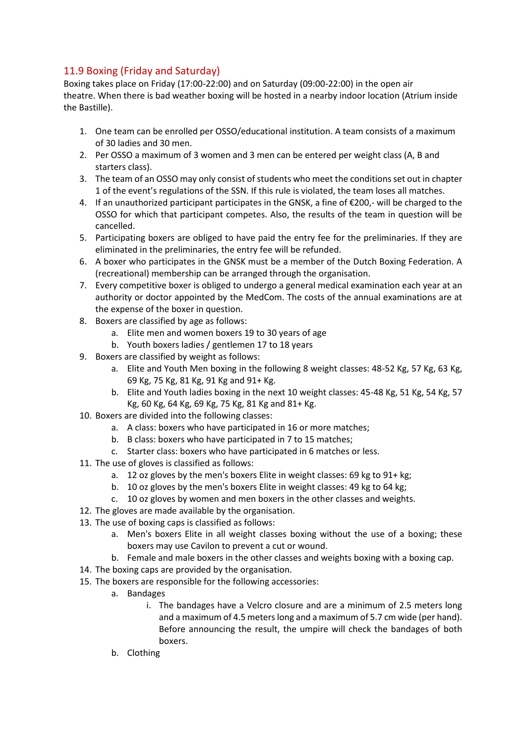## 11.9 Boxing (Friday and Saturday)

Boxing takes place on Friday (17:00-22:00) and on Saturday (09:00-22:00) in the open air theatre. When there is bad weather boxing will be hosted in a nearby indoor location (Atrium inside the Bastille).

- 1. One team can be enrolled per OSSO/educational institution. A team consists of a maximum of 30 ladies and 30 men.
- 2. Per OSSO a maximum of 3 women and 3 men can be entered per weight class (A, B and starters class).
- 3. The team of an OSSO may only consist of students who meet the conditions set out in chapter 1 of the event's regulations of the SSN. If this rule is violated, the team loses all matches.
- 4. If an unauthorized participant participates in the GNSK, a fine of €200,- will be charged to the OSSO for which that participant competes. Also, the results of the team in question will be cancelled.
- 5. Participating boxers are obliged to have paid the entry fee for the preliminaries. If they are eliminated in the preliminaries, the entry fee will be refunded.
- 6. A boxer who participates in the GNSK must be a member of the Dutch Boxing Federation. A (recreational) membership can be arranged through the organisation.
- 7. Every competitive boxer is obliged to undergo a general medical examination each year at an authority or doctor appointed by the MedCom. The costs of the annual examinations are at the expense of the boxer in question.
- 8. Boxers are classified by age as follows:
	- a. Elite men and women boxers 19 to 30 years of age
	- b. Youth boxers ladies / gentlemen 17 to 18 years
- 9. Boxers are classified by weight as follows:
	- a. Elite and Youth Men boxing in the following 8 weight classes: 48-52 Kg, 57 Kg, 63 Kg, 69 Kg, 75 Kg, 81 Kg, 91 Kg and 91+ Kg.
	- b. Elite and Youth ladies boxing in the next 10 weight classes: 45-48 Kg, 51 Kg, 54 Kg, 57 Kg, 60 Kg, 64 Kg, 69 Kg, 75 Kg, 81 Kg and 81+ Kg.
- 10. Boxers are divided into the following classes:
	- a. A class: boxers who have participated in 16 or more matches;
	- b. B class: boxers who have participated in 7 to 15 matches;
	- c. Starter class: boxers who have participated in 6 matches or less.
- 11. The use of gloves is classified as follows:
	- a. 12 oz gloves by the men's boxers Elite in weight classes: 69 kg to 91+ kg;
	- b. 10 oz gloves by the men's boxers Elite in weight classes: 49 kg to 64 kg;
	- c. 10 oz gloves by women and men boxers in the other classes and weights.
- 12. The gloves are made available by the organisation.
- 13. The use of boxing caps is classified as follows:
	- a. Men's boxers Elite in all weight classes boxing without the use of a boxing; these boxers may use Cavilon to prevent a cut or wound.
	- b. Female and male boxers in the other classes and weights boxing with a boxing cap.
- 14. The boxing caps are provided by the organisation.
- 15. The boxers are responsible for the following accessories:
	- a. Bandages
		- i. The bandages have a Velcro closure and are a minimum of 2.5 meters long and a maximum of 4.5 meters long and a maximum of 5.7 cm wide (per hand). Before announcing the result, the umpire will check the bandages of both boxers.
	- b. Clothing